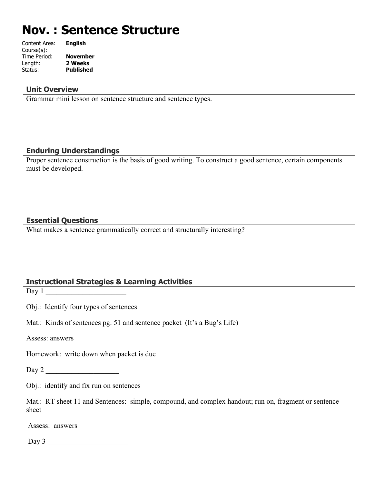# **Nov. : Sentence Structure**

| Content Area: | <b>English</b>   |
|---------------|------------------|
| Course(s):    |                  |
| Time Period:  | <b>November</b>  |
| Length:       | 2 Weeks          |
| Status:       | <b>Published</b> |
|               |                  |

## **Unit Overview**

Grammar mini lesson on sentence structure and sentence types.

# **Enduring Understandings**

Proper sentence construction is the basis of good writing. To construct a good sentence, certain components must be developed.

# **Essential Questions**

What makes a sentence grammatically correct and structurally interesting?

# **Instructional Strategies & Learning Activities**

Day 1

Obj.: Identify four types of sentences

Mat.: Kinds of sentences pg. 51 and sentence packet (It's a Bug's Life)

Assess: answers

Homework: write down when packet is due

 $Day 2$ 

Obj.: identify and fix run on sentences

Mat.: RT sheet 11 and Sentences: simple, compound, and complex handout; run on, fragment or sentence sheet

Assess: answers

Day  $3$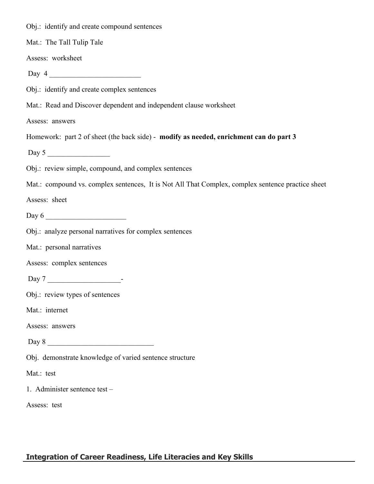Obj.: identify and create compound sentences

Mat.: The Tall Tulip Tale

Assess: worksheet

Day 4 \_\_\_\_\_\_\_\_\_\_\_\_\_\_\_\_\_\_\_\_\_\_\_\_\_

Obj.: identify and create complex sentences

Mat.: Read and Discover dependent and independent clause worksheet

Assess: answers

Homework: part 2 of sheet (the back side) - **modify as needed, enrichment can do part 3**

Day 5

Obj.: review simple, compound, and complex sentences

Mat.: compound vs. complex sentences, It is Not All That Complex, complex sentence practice sheet

Assess: sheet

Day 6 \_\_\_\_\_\_\_\_\_\_\_\_\_\_\_\_\_\_\_\_\_\_

Obj.: analyze personal narratives for complex sentences

Mat.: personal narratives

Assess: complex sentences

Day  $7$ 

Obj.: review types of sentences

Mat.: internet

Assess: answers

Day 8 \_\_\_\_\_\_\_\_\_\_\_\_\_\_\_\_\_\_\_\_\_\_\_\_\_\_\_\_\_

Obj. demonstrate knowledge of varied sentence structure

Mat.: test

1. Administer sentence test –

Assess: test

## **Integration of Career Readiness, Life Literacies and Key Skills**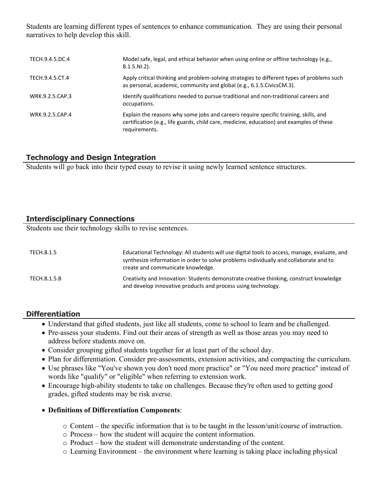Students are learning different types of sentences to enhance communication. They are using their personal narratives to help develop this skill.

| TECH.9.4.5.DC.4 | Model safe, legal, and ethical behavior when using online or offline technology (e.g.,<br>$8.1.5.NI.2$ ).                                                                                         |
|-----------------|---------------------------------------------------------------------------------------------------------------------------------------------------------------------------------------------------|
| TECH.9.4.5.CT.4 | Apply critical thinking and problem-solving strategies to different types of problems such<br>as personal, academic, community and global (e.g., 6.1.5. Civics CM.3).                             |
| WRK.9.2.5.CAP.3 | Identify qualifications needed to pursue traditional and non-traditional careers and<br>occupations.                                                                                              |
| WRK.9.2.5.CAP.4 | Explain the reasons why some jobs and careers require specific training, skills, and<br>certification (e.g., life guards, child care, medicine, education) and examples of these<br>requirements. |

# **Technology and Design Integration**

Students will go back into their typed essay to revise it using newly learned sentence structures.

# **Interdisciplinary Connections**

Students use their technology skills to revise sentences.

| TECH.8.1.5   | Educational Technology: All students will use digital tools to access, manage, evaluate, and<br>synthesize information in order to solve problems individually and collaborate and to<br>create and communicate knowledge. |
|--------------|----------------------------------------------------------------------------------------------------------------------------------------------------------------------------------------------------------------------------|
| TECH.8.1.5.B | Creativity and Innovation: Students demonstrate creative thinking, construct knowledge<br>and develop innovative products and process using technology.                                                                    |

## **Differentiation**

- Understand that gifted students, just like all students, come to school to learn and be challenged.
- Pre-assess your students. Find out their areas of strength as well as those areas you may need to address before students move on.
- Consider grouping gifted students together for at least part of the school day.
- Plan for differentiation. Consider pre-assessments, extension activities, and compacting the curriculum.
- Use phrases like "You've shown you don't need more practice" or "You need more practice" instead of words like "qualify" or "eligible" when referring to extension work.
- Encourage high-ability students to take on challenges. Because they're often used to getting good grades, gifted students may be risk averse.

# **Definitions of Differentiation Components**:

- o Content the specific information that is to be taught in the lesson/unit/course of instruction.
- o Process how the student will acquire the content information.
- o Product how the student will demonstrate understanding of the content.
- o Learning Environment the environment where learning is taking place including physical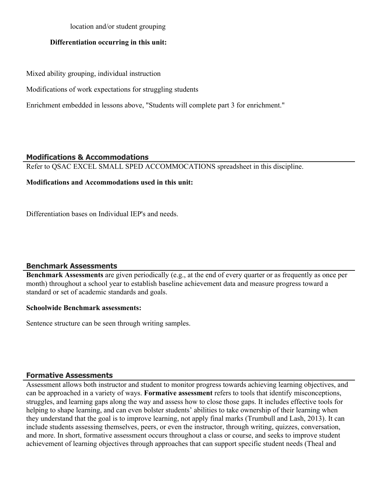#### location and/or student grouping

#### **Differentiation occurring in this unit:**

Mixed ability grouping, individual instruction

Modifications of work expectations for struggling students

Enrichment embedded in lessons above, "Students will complete part 3 for enrichment."

## **Modifications & Accommodations**

Refer to QSAC EXCEL SMALL SPED ACCOMMOCATIONS spreadsheet in this discipline.

#### **Modifications and Accommodations used in this unit:**

Differentiation bases on Individual IEP's and needs.

#### **Benchmark Assessments**

**Benchmark Assessments** are given periodically (e.g., at the end of every quarter or as frequently as once per month) throughout a school year to establish baseline achievement data and measure progress toward a standard or set of academic standards and goals.

#### **Schoolwide Benchmark assessments:**

Sentence structure can be seen through writing samples.

## **Formative Assessments**

Assessment allows both instructor and student to monitor progress towards achieving learning objectives, and can be approached in a variety of ways. **Formative assessment** refers to tools that identify misconceptions, struggles, and learning gaps along the way and assess how to close those gaps. It includes effective tools for helping to shape learning, and can even bolster students' abilities to take ownership of their learning when they understand that the goal is to improve learning, not apply final marks (Trumbull and Lash, 2013). It can include students assessing themselves, peers, or even the instructor, through writing, quizzes, conversation, and more. In short, formative assessment occurs throughout a class or course, and seeks to improve student achievement of learning objectives through approaches that can support specific student needs (Theal and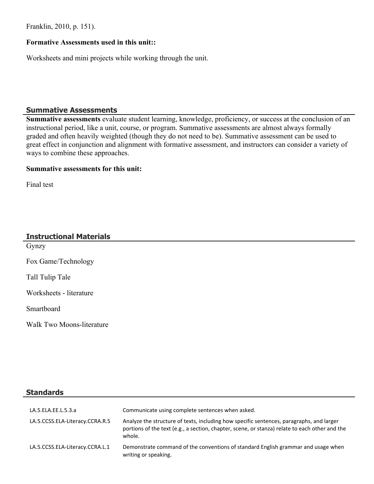Franklin, 2010, p. 151).

#### **Formative Assessments used in this unit::**

Worksheets and mini projects while working through the unit.

## **Summative Assessments**

**Summative assessments** evaluate student learning, knowledge, proficiency, or success at the conclusion of an instructional period, like a unit, course, or program. Summative assessments are almost always formally graded and often heavily weighted (though they do not need to be). Summative assessment can be used to great effect in conjunction and alignment with formative assessment, and instructors can consider a variety of ways to combine these approaches.

## **Summative assessments for this unit:**

Final test

# **Instructional Materials**

Gynzy

Fox Game/Technology

Tall Tulip Tale

Worksheets - literature

Smartboard

Walk Two Moons-literature

# **Standards**

| LA.5.ELA.EE.L.5.3.a             | Communicate using complete sentences when asked.                                                                                                                                                     |
|---------------------------------|------------------------------------------------------------------------------------------------------------------------------------------------------------------------------------------------------|
| LA.5.CCSS.ELA-Literacy.CCRA.R.5 | Analyze the structure of texts, including how specific sentences, paragraphs, and larger<br>portions of the text (e.g., a section, chapter, scene, or stanza) relate to each other and the<br>whole. |
| LA.5.CCSS.ELA-Literacy.CCRA.L.1 | Demonstrate command of the conventions of standard English grammar and usage when<br>writing or speaking.                                                                                            |